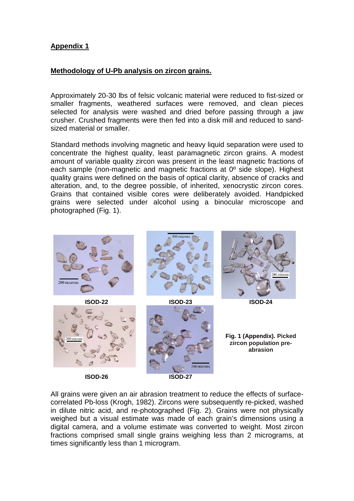## **Appendix 1**

## **Methodology of U-Pb analysis on zircon grains.**

Approximately 20-30 lbs of felsic volcanic material were reduced to fist-sized or smaller fragments, weathered surfaces were removed, and clean pieces selected for analysis were washed and dried before passing through a jaw crusher. Crushed fragments were then fed into a disk mill and reduced to sandsized material or smaller.

Standard methods involving magnetic and heavy liquid separation were used to concentrate the highest quality, least paramagnetic zircon grains. A modest amount of variable quality zircon was present in the least magnetic fractions of each sample (non-magnetic and magnetic fractions at 0º side slope). Highest quality grains were defined on the basis of optical clarity, absence of cracks and alteration, and, to the degree possible, of inherited, xenocrystic zircon cores. Grains that contained visible cores were deliberately avoided. Handpicked grains were selected under alcohol using a binocular microscope and photographed (Fig. 1).



All grains were given an air abrasion treatment to reduce the effects of surfacecorrelated Pb-loss (Krogh, 1982). Zircons were subsequently re-picked, washed in dilute nitric acid, and re-photographed (Fig. 2). Grains were not physically weighed but a visual estimate was made of each grain's dimensions using a digital camera, and a volume estimate was converted to weight. Most zircon fractions comprised small single grains weighing less than 2 micrograms, at times significantly less than 1 microgram.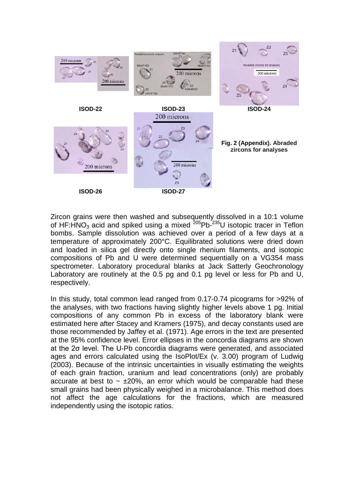

Zircon grains were then washed and subsequently dissolved in a 10:1 volume of HF:HNO<sub>3</sub> acid and spiked using a mixed  $^{205}$ Pb- $^{235}$ U isotopic tracer in Teflon bombs. Sample dissolution was achieved over a period of a few days at a temperature of approximately 200°C. Equilibrated solutions were dried down and loaded in silica gel directly onto single rhenium filaments, and isotopic compositions of Pb and U were determined sequentially on a VG354 mass spectrometer. Laboratory procedural blanks at Jack Satterly Geochronology Laboratory are routinely at the 0.5 pg and 0.1 pg level or less for Pb and U, respectively.

In this study, total common lead ranged from 0.17-0.74 picograms for >92% of the analyses, with two fractions having slightly higher levels above 1 pg. Initial compositions of any common Pb in excess of the laboratory blank were estimated here after Stacey and Kramers (1975), and decay constants used are those recommended by Jaffey et al. (1971). Age errors in the text are presented at the 95% confidence level. Error ellipses in the concordia diagrams are shown at the 2σ level. The U-Pb concordia diagrams were generated, and associated ages and errors calculated using the IsoPlot/Ex (v. 3.00) program of Ludwig (2003). Because of the intrinsic uncertainties in visually estimating the weights of each grain fraction, uranium and lead concentrations (only) are probably accurate at best to  $\sim \pm 20\%$ , an error which would be comparable had these small grains had been physically weighed in a microbalance. This method does not affect the age calculations for the fractions, which are measured independently using the isotopic ratios.